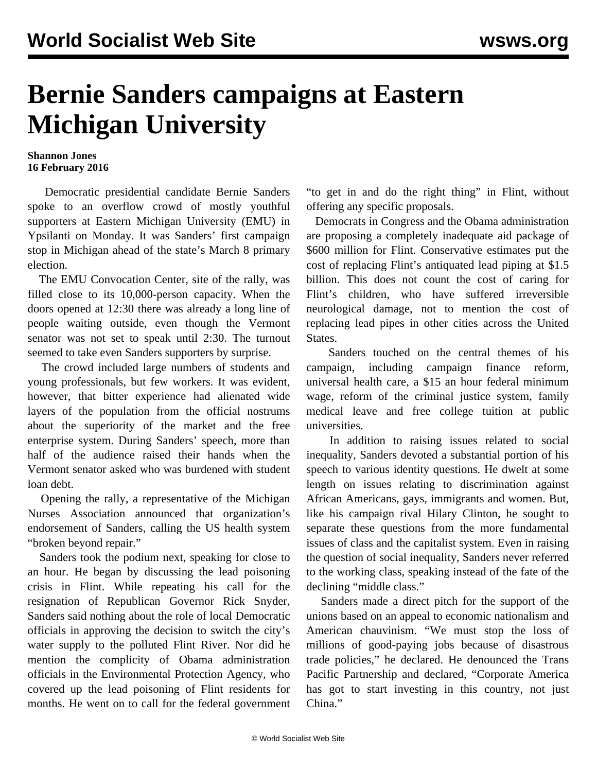## **Bernie Sanders campaigns at Eastern Michigan University**

## **Shannon Jones 16 February 2016**

 Democratic presidential candidate Bernie Sanders spoke to an overflow crowd of mostly youthful supporters at Eastern Michigan University (EMU) in Ypsilanti on Monday. It was Sanders' first campaign stop in Michigan ahead of the state's March 8 primary election.

 The EMU Convocation Center, site of the rally, was filled close to its 10,000-person capacity. When the doors opened at 12:30 there was already a long line of people waiting outside, even though the Vermont senator was not set to speak until 2:30. The turnout seemed to take even Sanders supporters by surprise.

 The crowd included large numbers of students and young professionals, but few workers. It was evident, however, that bitter experience had alienated wide layers of the population from the official nostrums about the superiority of the market and the free enterprise system. During Sanders' speech, more than half of the audience raised their hands when the Vermont senator asked who was burdened with student loan debt.

 Opening the rally, a representative of the Michigan Nurses Association announced that organization's endorsement of Sanders, calling the US health system "broken beyond repair."

 Sanders took the podium next, speaking for close to an hour. He began by discussing the lead poisoning crisis in Flint. While repeating his call for the resignation of Republican Governor Rick Snyder, Sanders said nothing about the role of local Democratic officials in approving the decision to switch the city's water supply to the polluted Flint River. Nor did he mention the complicity of Obama administration officials in the Environmental Protection Agency, who covered up the lead poisoning of Flint residents for months. He went on to call for the federal government "to get in and do the right thing" in Flint, without offering any specific proposals.

 Democrats in Congress and the Obama administration are proposing a completely inadequate aid package of \$600 million for Flint. Conservative estimates put the cost of replacing Flint's antiquated lead piping at \$1.5 billion. This does not count the cost of caring for Flint's children, who have suffered irreversible neurological damage, not to mention the cost of replacing lead pipes in other cities across the United States.

 Sanders touched on the central themes of his campaign, including campaign finance reform, universal health care, a \$15 an hour federal minimum wage, reform of the criminal justice system, family medical leave and free college tuition at public universities.

 In addition to raising issues related to social inequality, Sanders devoted a substantial portion of his speech to various identity questions. He dwelt at some length on issues relating to discrimination against African Americans, gays, immigrants and women. But, like his campaign rival Hilary Clinton, he sought to separate these questions from the more fundamental issues of class and the capitalist system. Even in raising the question of social inequality, Sanders never referred to the working class, speaking instead of the fate of the declining "middle class."

 Sanders made a direct pitch for the support of the unions based on an appeal to economic nationalism and American chauvinism. "We must stop the loss of millions of good-paying jobs because of disastrous trade policies," he declared. He denounced the Trans Pacific Partnership and declared, "Corporate America has got to start investing in this country, not just China."